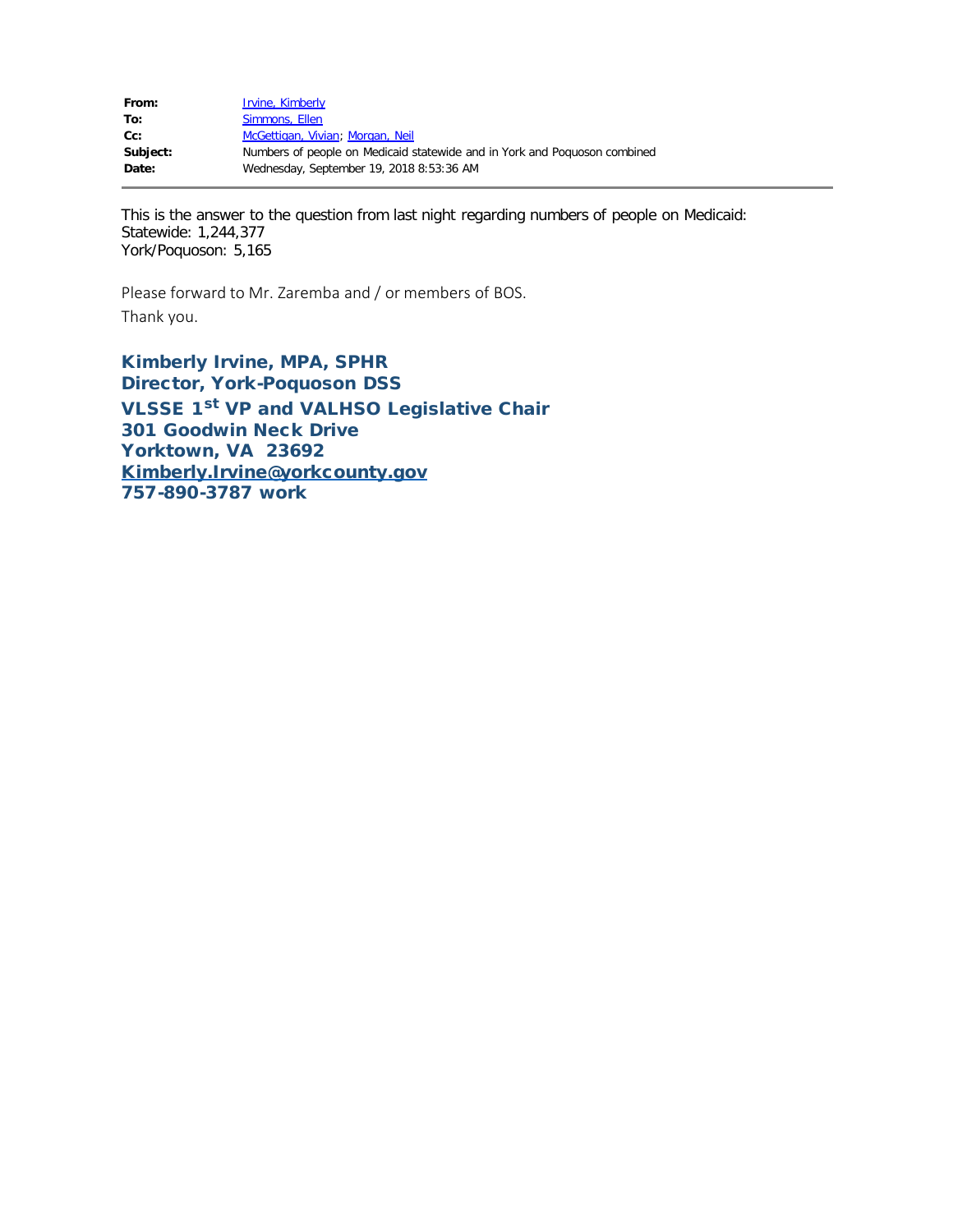| From:    | Irvine, Kimberly                                                          |
|----------|---------------------------------------------------------------------------|
| To:      | Simmons, Ellen                                                            |
| $Cc$ :   | McGettigan, Vivian; Morgan, Neil                                          |
| Subject: | Numbers of people on Medicaid statewide and in York and Poquoson combined |
| Date:    | Wednesday, September 19, 2018 8:53:36 AM                                  |
|          |                                                                           |

This is the answer to the question from last night regarding numbers of people on Medicaid: Statewide: 1,244,377 York/Poquoson: 5,165

Please forward to Mr. Zaremba and / or members of BOS. Thank you.

Kimberly Irvine, MPA, SPHR Director, York-Poquoson DSS VLSSE 1<sup>st</sup> VP and VALHSO Legislative Chair 301 Goodwin Neck Drive Yorktown, VA 23692 [Kimberly.Irvine@yorkcounty.gov](mailto:Kimberly.Irvine@yorkcounty.gov) 757-890-3787 work